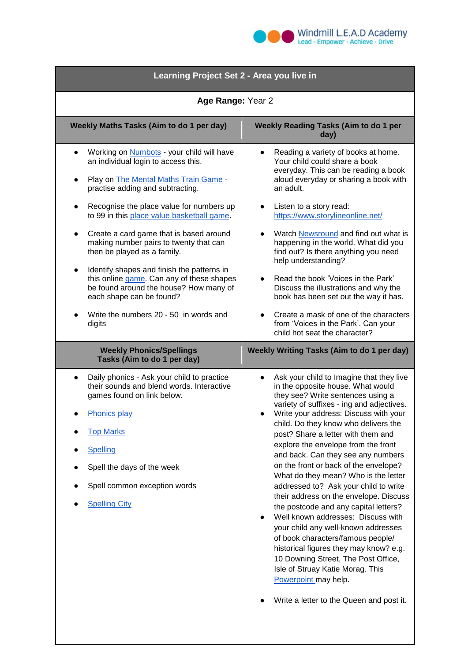

| Learning Project Set 2 - Area you live in                                                                                                                                                                                                                                                                                                                                                                                                                                                                                                                                                               |                                                                                                                                                                                                                                                                                                                                                                                                                                                                                                                                                                                                                                                                                                                                                                                                                                                                                                          |
|---------------------------------------------------------------------------------------------------------------------------------------------------------------------------------------------------------------------------------------------------------------------------------------------------------------------------------------------------------------------------------------------------------------------------------------------------------------------------------------------------------------------------------------------------------------------------------------------------------|----------------------------------------------------------------------------------------------------------------------------------------------------------------------------------------------------------------------------------------------------------------------------------------------------------------------------------------------------------------------------------------------------------------------------------------------------------------------------------------------------------------------------------------------------------------------------------------------------------------------------------------------------------------------------------------------------------------------------------------------------------------------------------------------------------------------------------------------------------------------------------------------------------|
| Age Range: Year 2                                                                                                                                                                                                                                                                                                                                                                                                                                                                                                                                                                                       |                                                                                                                                                                                                                                                                                                                                                                                                                                                                                                                                                                                                                                                                                                                                                                                                                                                                                                          |
| Weekly Maths Tasks (Aim to do 1 per day)                                                                                                                                                                                                                                                                                                                                                                                                                                                                                                                                                                | <b>Weekly Reading Tasks (Aim to do 1 per</b><br>day)                                                                                                                                                                                                                                                                                                                                                                                                                                                                                                                                                                                                                                                                                                                                                                                                                                                     |
| Working on Numbots - your child will have<br>an individual login to access this.<br>Play on <b>The Mental Maths Train Game</b> -<br>practise adding and subtracting.<br>Recognise the place value for numbers up<br>to 99 in this place value basketball game.<br>Create a card game that is based around<br>making number pairs to twenty that can<br>then be played as a family.<br>Identify shapes and finish the patterns in<br>this online game. Can any of these shapes<br>be found around the house? How many of<br>each shape can be found?<br>Write the numbers 20 - 50 in words and<br>digits | Reading a variety of books at home.<br>Your child could share a book<br>everyday. This can be reading a book<br>aloud everyday or sharing a book with<br>an adult.<br>Listen to a story read:<br>https://www.storylineonline.net/<br>Watch Newsround and find out what is<br>happening in the world. What did you<br>find out? Is there anything you need<br>help understanding?<br>Read the book 'Voices in the Park'<br>Discuss the illustrations and why the<br>book has been set out the way it has.<br>Create a mask of one of the characters<br>from 'Voices in the Park'. Can your<br>child hot seat the character?                                                                                                                                                                                                                                                                               |
| <b>Weekly Phonics/Spellings</b>                                                                                                                                                                                                                                                                                                                                                                                                                                                                                                                                                                         | Weekly Writing Tasks (Aim to do 1 per day)                                                                                                                                                                                                                                                                                                                                                                                                                                                                                                                                                                                                                                                                                                                                                                                                                                                               |
| Tasks (Aim to do 1 per day)<br>Daily phonics - Ask your child to practice<br>their sounds and blend words. Interactive<br>games found on link below.<br><b>Phonics play</b><br><b>Top Marks</b><br><b>Spelling</b><br>Spell the days of the week<br>Spell common exception words<br><b>Spelling City</b>                                                                                                                                                                                                                                                                                                | Ask your child to Imagine that they live<br>in the opposite house. What would<br>they see? Write sentences using a<br>variety of suffixes - ing and adjectives.<br>Write your address: Discuss with your<br>child. Do they know who delivers the<br>post? Share a letter with them and<br>explore the envelope from the front<br>and back. Can they see any numbers<br>on the front or back of the envelope?<br>What do they mean? Who is the letter<br>addressed to? Ask your child to write<br>their address on the envelope. Discuss<br>the postcode and any capital letters?<br>Well known addresses: Discuss with<br>$\bullet$<br>your child any well-known addresses<br>of book characters/famous people/<br>historical figures they may know? e.g.<br>10 Downing Street, The Post Office,<br>Isle of Struay Katie Morag. This<br>Powerpoint may help.<br>Write a letter to the Queen and post it. |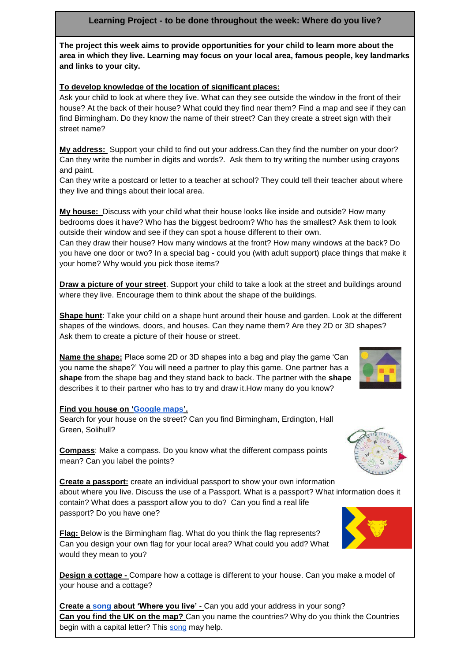## **Learning Project - to be done throughout the week: Where do you live?**

**The project this week aims to provide opportunities for your child to learn more about the area in which they live. Learning may focus on your local area, famous people, key landmarks and links to your city.**

#### **To develop knowledge of the location of significant places:**

Ask your child to look at where they live. What can they see outside the window in the front of their house? At the back of their house? What could they find near them? Find a map and see if they can find Birmingham. Do they know the name of their street? Can they create a street sign with their street name?

**My address:** Support your child to find out your address.Can they find the number on your door? Can they write the number in digits and words?. Ask them to try writing the number using crayons and paint.

Can they write a postcard or letter to a teacher at school? They could tell their teacher about where they live and things about their local area.

**My house:** Discuss with your child what their house looks like inside and outside? How many bedrooms does it have? Who has the biggest bedroom? Who has the smallest? Ask them to look outside their window and see if they can spot a house different to their own.

Can they draw their house? How many windows at the front? How many windows at the back? Do you have one door or two? In a special bag - could you (with adult support) place things that make it your home? Why would you pick those items?

**Draw a picture of your street**. Support your child to take a look at the street and buildings around where they live. Encourage them to think about the shape of the buildings.

**Shape hunt**: Take your child on a shape hunt around their house and garden. Look at the different shapes of the windows, doors, and houses. Can they name them? Are they 2D or 3D shapes? Ask them to create a picture of their house or street.

**Name the shape:** Place some 2D or 3D shapes into a bag and play the game 'Can you name the shape?' You will need a partner to play this game. One partner has a **shape** from the shape bag and they stand back to back. The partner with the **shape** describes it to their partner who has to try and draw it.How many do you know?

#### **Find you house on ['Google maps'](https://www.google.co.uk/intl/en_uk/earth/).**

Search for your house on the street? Can you find Birmingham, Erdington, Hall Green, Solihull?

**Compass**: Make a compass. Do you know what the different compass points mean? Can you label the points?

**Create a passport:** create an individual passport to show your own information about where you live. Discuss the use of a Passport. What is a passport? What information does it contain? What does a passport allow you to do? Can you find a real life passport? Do you have one?

**Flag:** Below is the Birmingham flag. What do you think the flag represents? Can you design your own flag for your local area? What could you add? What would they mean to you?

**Design a cottage -** Compare how a cottage is different to your house. Can you make a model of your house and a cottage?

**Create a [song](https://www.bing.com/videos/search?q=wher+ei+live+song+ks1&view=detail&mid=8AD2DC50644EDC666A158AD2DC50644EDC666A15&FORM=VIRE) about 'Where you live'** - Can you add your address in your song? **Can you find the UK on the map?** Can you name the countries? Why do you think the Countries begin with a capital letter? This [song](https://www.bing.com/videos/search?q=wher+ei+live+song+ks1&view=detail&mid=E0617FC13E75465CFCFEE0617FC13E75465CFCFE&FORM=VIRE) may help.